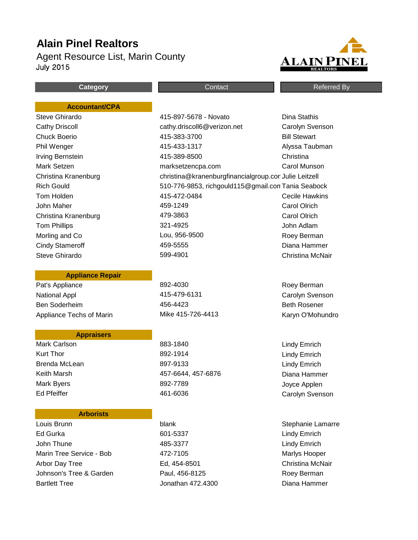# **Alain Pinel Realtors**

Agent Resource List, Marin County July 2015



**Category Category CONTER CONTACT CONTACT CONTER CONTER CONTER CONTER CONTER CONTER CONTER CONTER CONTER CONTER CONTER CONTE** 

#### **Accountant/CPA**

#### **Appliance Repair**

Pat's Appliance **892-4030** Roey Berman National Appl 415-479-6131 Carolyn Svenson Ben Soderheim 456-4423 Beth Rosener Appliance Techs of Marin **Mike 415-726-4413** Karyn O'Mohundro

# **Appraisers**

# **Arborists**

Louis Brunn **blank** Stephanie Lamarre Ed Gurka 601-5337 Lindy Emrich John Thune **1988** Lindy Emrich Marin Tree Service - Bob **A72-7105** Maring Martys Hooper Arbor Day Tree **Ed, 454-8501** Christina McNair Johnson's Tree & Garden **Paul, 456-8125** Paul, 456-8125 Bartlett Tree Jonathan 472.4300 Diana Hammer

Steve Ghirardo 415-897-5678 - Novato Dina Stathis Cathy Driscoll cathy.driscoll6@verizon.net Carolyn Svenson Chuck Boerio 415-383-3700 Bill Stewart Phil Wenger **All and Alyssa Taubman** 415-433-1317 **Alyssa Taubman** Irving Bernstein 415-389-8500 Christina Mark Setzen marksetzencpa.com Carol Munson Christina Kranenburg christina@kranenburgfinancialgroup.comJulie Leitzell Rich Gould 510-776-9853, richgould115@gmail.comTania Seabock Tom Holden 415-472-0484 Cecile Hawkins John Maher 459-1249 Carol Olrich Christina Kranenburg 479-3863 Carol Olrich Tom Phillips 321-4925 John Adlam Morling and Co **Lou, 956-9500** Lou, 956-9500 Cindy Stameroff 459-5555 Diana Hammer Steve Ghirardo 599-4901 Christina McNair

Mark Carlson **Mark Carlson** 883-1840 **Lindy Emrich** Kurt Thor **Emery 2001** 2021 892-1914 **Research Strutter Emery 2008** 2021 892-1914 Brenda McLean 897-9133 Lindy Emrich Keith Marsh 457-6644, 457-6876 Diana Hammer Mark Byers **892-7789** Mark Byers **Applen** Ed Pfeiffer The Carolyn Svenson Carolyn Svenson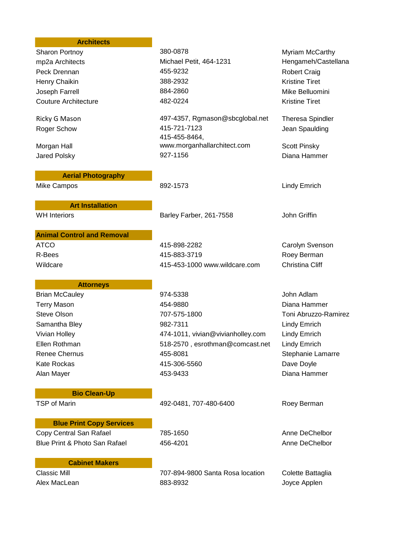#### **Architects**

Peck Drennan **155-9232** A55-9232 Robert Craig Henry Chaikin 388-2932 Kristine Tiret Joseph Farrell 884-2860 Mike Belluomini Couture Architecture 482-0224 Kristine Tiret

Morgan Hall

#### **Aerial Photography**

**Art Installation**

**Animal Control and Removal**

WH Interiors The State of Barley Farber, 261-7558 John Griffin

415-455-8464,

Sharon Portnoy **380-0878** 380-0878 Myriam McCarthy mp2a Architects Michael Petit, 464-1231 Hengameh/Castellana

Ricky G Mason **All and ASS ACT 497-4357, Rgmason@sbcglobal.net** Theresa Spindler Roger Schow **115-721-7123** Roger Schow **Jean Spaulding** 

www.morganhallarchitect.com Scott Pinsky Jared Polsky 927-1156 Diana Hammer

Mike Campos **892-1573** Mike Campos **Campos B** Emrich

ATCO 415-898-2282 Carolyn Svenson R-Bees 2008 2016 115-883-3719 Roey Berman Wildcare 415-453-1000 www.wildcare.com Christina Cliff

**Attorneys**

Brian McCauley **874-5338** John Adlam Terry Mason 454-9880 Diana Hammer Steve Olson 707-575-1800 Toni Abruzzo-Ramirez Samantha Bley **882-7311** Samantha Bley **Blue Blue Communist Communist Communist Communist Communist Communist Communist Communist Communist Communist Communist Communist Communist Communist Communist Communist Communist Co** Vivian Holley 474-1011, vivian@vivianholley.com Lindy Emrich Ellen Rothman 518-2570 , esrothman@comcast.net Lindy Emrich Renee Chernus **6 November 2018** 1995-8081 Stephanie Lamarre Kate Rockas 415-306-5560 Dave Doyle Alan Mayer 453-9433 Diana Hammer

# **Bio Clean-Up**

**Blue Print Copy Services**

TSP of Marin 492-0481, 707-480-6400 Roey Berman

Copy Central San Rafael **785-1650** Anne DeChelbor Blue Print & Photo San Rafael **456-4201** Anne DeChelbor

# **Cabinet Makers**

Classic Mill 707-894-9800 Santa Rosa location Colette Battaglia Alex MacLean 883-8932 Joyce Applen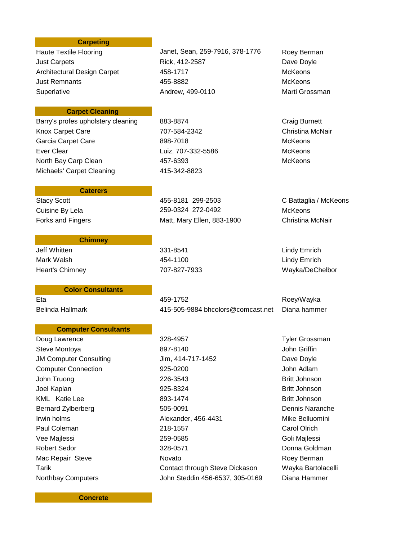#### **Carpeting**

### **Carpet Cleaning**

Barry's profes upholstery cleaning 883-8874 Craig Burnett Knox Carpet Care **1201 Carpet Care** 2007-584-2342 Christina McNair Garcia Carpet Care **898-7018** McKeons Ever Clear Luiz, 707-332-5586 McKeons North Bay Carp Clean 457-6393 McKeons Michaels' Carpet Cleaning **415-342-8823** 

# **Chimney**

**Caterers**

Jeff Whitten 331-8541 Lindy Emrich Mark Walsh 454-1100 Lindy Emrich

#### **Color Consultants**

#### **Computer Consultants**

Haute Textile Flooring **Janet, Sean, 259-7916, 378-1776** Roey Berman Just Carpets **Rick, 412-2587** Dave Doyle Architectural Design Carpet  $458-1717$  McKeons Just Remnants 455-8882 McKeons Superlative **Andrew, 499-0110** Marti Grossman

Stacy Scott 455-8181 299-2503 C Battaglia / McKeons Cuisine By Lela 259-0324 272-0492 McKeons Forks and Fingers **Matt**, Matt, Mary Ellen, 883-1900 Christina McNair

Eta 459-1752 Roey/Wayka Belinda Hallmark 415-505-9884 bhcolors@comcast.net Diana hammer

Doug Lawrence **328-4957** Tyler Grossman **Tyler Grossman** Steve Montoya **897-8140** By a state of the Steve Montoya JM Computer Consulting The Suite Jim, 414-717-1452 Solution Dave Doyle Computer Connection 925-0200 John Adlam John Truong **226-3543** Britt Johnson Joel Kaplan 925-8324 Britt Johnson KML Katie Lee **893-1474** Britt Johnson Bernard Zylberberg 505-0091 Dennis Naranche Irwin holms **Alexander, 456-4431** Mike Belluomini Paul Coleman **Coleman 218-1557** Carol Olrich Carol Olrich Vee Majlessi 259-0585 Goli Majlessi Robert Sedor 328-0571 Donna Goldman Mac Repair Steve **Novato** Novato **Novato Roey Berman** Tarik Contact through Steve Dickason Mayka Bartolacelli Northbay Computers John Steddin 456-6537, 305-0169 Diana Hammer

Heart's Chimney 707-827-7933 Wayka/DeChelbor

**Concrete**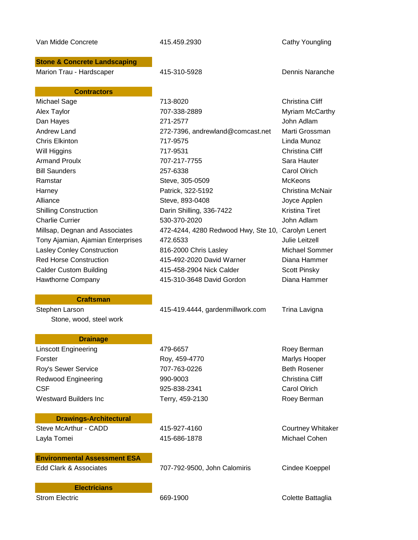| Van Midde Concrete                      | 415.459.2930                                       | Cathy Youngling          |
|-----------------------------------------|----------------------------------------------------|--------------------------|
| <b>Stone &amp; Concrete Landscaping</b> |                                                    |                          |
| Marion Trau - Hardscaper                | 415-310-5928                                       | Dennis Naranche          |
| <b>Contractors</b>                      |                                                    |                          |
| Michael Sage                            | 713-8020                                           | <b>Christina Cliff</b>   |
| Alex Taylor                             | 707-338-2889                                       | Myriam McCarthy          |
| Dan Hayes                               | 271-2577                                           | John Adlam               |
| <b>Andrew Land</b>                      | 272-7396, andrewland@comcast.net                   | Marti Grossman           |
| <b>Chris Elkinton</b>                   | 717-9575                                           | Linda Munoz              |
| Will Higgins                            | 717-9531                                           | Christina Cliff          |
| <b>Armand Proulx</b>                    | 707-217-7755                                       | Sara Hauter              |
| <b>Bill Saunders</b>                    | 257-6338                                           | <b>Carol Olrich</b>      |
| Ramstar                                 | Steve, 305-0509                                    | <b>McKeons</b>           |
| Harney                                  | Patrick, 322-5192                                  | Christina McNair         |
| Alliance                                | Steve, 893-0408                                    | Joyce Applen             |
| <b>Shilling Construction</b>            | Darin Shilling, 336-7422                           | <b>Kristina Tiret</b>    |
| <b>Charlie Currier</b>                  | 530-370-2020                                       | John Adlam               |
| Millsap, Degnan and Associates          | 472-4244, 4280 Redwood Hwy, Ste 10, Carolyn Lenert |                          |
| Tony Ajamian, Ajamian Enterprises       | 472.6533                                           | <b>Julie Leitzell</b>    |
| Lasley Conley Construction              | 816-2000 Chris Lasley                              | Michael Sommer           |
| <b>Red Horse Construction</b>           | 415-492-2020 David Warner                          | Diana Hammer             |
| <b>Calder Custom Building</b>           | 415-458-2904 Nick Calder                           | <b>Scott Pinsky</b>      |
| Hawthorne Company                       | 415-310-3648 David Gordon                          | Diana Hammer             |
| <b>Craftsman</b>                        |                                                    |                          |
| Stephen Larson                          | 415-419.4444, gardenmillwork.com                   | Trina Lavigna            |
| Stone, wood, steel work                 |                                                    |                          |
| <b>Drainage</b>                         |                                                    |                          |
| <b>Linscott Engineering</b>             | 479-6657                                           | Roey Berman              |
| Forster                                 | Roy, 459-4770                                      | Marlys Hooper            |
| Roy's Sewer Service                     | 707-763-0226                                       | <b>Beth Rosener</b>      |
| <b>Redwood Engineering</b>              | 990-9003                                           | Christina Cliff          |
| <b>CSF</b>                              | 925-838-2341                                       | Carol Olrich             |
| <b>Westward Builders Inc.</b>           | Terry, 459-2130                                    | Roey Berman              |
| <b>Drawings-Architectural</b>           |                                                    |                          |
| Steve McArthur - CADD                   | 415-927-4160                                       | <b>Courtney Whitaker</b> |
| Layla Tomei                             | 415-686-1878                                       | Michael Cohen            |
| <b>Environmental Assessment ESA</b>     |                                                    |                          |
| <b>Edd Clark &amp; Associates</b>       | 707-792-9500, John Calomiris                       | Cindee Koeppel           |
| <b>Electricians</b>                     |                                                    |                          |
| <b>Strom Electric</b>                   | 669-1900                                           | Colette Battaglia        |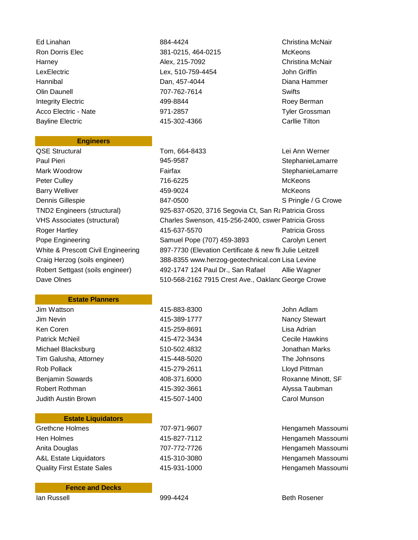Ed Linahan 884-4424 Christina McNair Bayline Electric 415-302-4366 Carllie Tilton

#### **Engineers**

# Ron Dorris Elec **381-0215, 464-0215** McKeons Harney Alex, 215-7092 Christina McNair LexElectric Lex, 510-759-4454 John Griffin Hannibal Dan, 457-4044 Diana Hammer Olin Daunell 707-762-7614 Swifts Integrity Electric **ASSET 189-8844** Roey Berman Roey Berman Acco Electric - Nate **971-2857** Tyler Grossman

QSE Structural Tom, 664-8433 Lei Ann Werner Paul Pieri **1945-9587** Paul Pieri 1945-9587 **StephanieLamarre** Mark Woodrow **Fairfax Fairfax** StephanieLamarre Peter Culley **716-6225** McKeons Barry Welliver **1992-19924** McKeons Dennis Gillespie 847-0500 S Pringle / G Crowe TND2 Engineers (structural) 925-837-0520, 3716 Segovia Ct, San Ramatricia Gross VHS Associates (structural) Charles Swenson, 415-256-2400, cswer Patricia Gross Roger Hartley 415-637-5570 Patricia Gross Pope Engineering **Samuel Pope (707) 459-3893** Carolyn Lenert White & Prescott Civil Engineering 897-7730 (Elevation Certificate & new flo Julie Leitzell Craig Herzog (soils engineer) 388-8355 www.herzog-geotechnical.comLisa Levine Robert Settgast (soils engineer) 492-1747 124 Paul Dr., San Rafael Allie Wagner Dave Olnes **510-568-2162 7915 Crest Ave., Oakland George Crowe** 

### **Estate Planners**

| Jim Wattson             | 415-883-8300 | John Adlam            |
|-------------------------|--------------|-----------------------|
| Jim Nevin               | 415-389-1777 | Nancy Stewart         |
| Ken Coren               | 415-259-8691 | Lisa Adrian           |
| <b>Patrick McNeil</b>   | 415-472-3434 | <b>Cecile Hawkins</b> |
| Michael Blacksburg      | 510-502.4832 | Jonathan Marks        |
| Tim Galusha, Attorney   | 415-448-5020 | The Johnsons          |
| Rob Pollack             | 415-279-2611 | Lloyd Pittman         |
| <b>Benjamin Sowards</b> | 408-371.6000 | Roxanne Minot         |
| Robert Rothman          | 415-392-3661 | Alyssa Taubma         |
| Judith Austin Brown     | 415-507-1400 | Carol Munson          |
|                         |              |                       |

# **Estate Liquidators**

| Grethcne Holmes                   | 707-971-9607 |
|-----------------------------------|--------------|
| Hen Holmes                        | 415-827-7112 |
| Anita Douglas                     | 707-772-7726 |
| <b>A&amp;L Estate Liquidators</b> | 415-310-3080 |
| <b>Quality First Estate Sales</b> | 415-931-1000 |

#### **Fence and Decks**

ncy Stewart hathan Marks xanne Minott, SF ssa Taubman

7 and Green Hengameh Massoumi 2 and the Hengameh Massoumi Anita Douglas 707-772-7726 Hengameh Massoumi 0 **A&L Estate Library Hengameh Massoumi** 0 **Bility First Estate Hengameh Massoumi**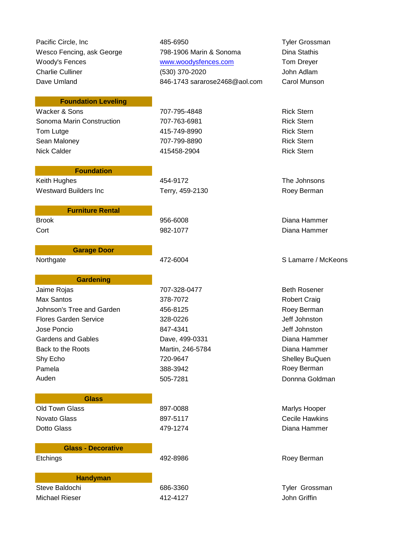Pacific Circle, Inc **AB5-6950** 485-6950 **Tyler Grossman** Wesco Fencing, ask George **798-1906 Marin & Sonoma** Dina Stathis Woody's Fences **WWW.woodysfences.com** Tom Dreyer Charlie Culliner (530) 370-2020 John Adlam Dave Umland **846-1743 sararose2468@aol.com** Carol Munson

Brook 956-6008 Diana Hammer Cort 982-1077 Diana Hammer

Northgate **172-6004** A72-6004 S Lamarre / McKeons

Etchings **192-8986** Roey Berman

# **Foundation Leveling**

Wacker & Sons **707-795-4848** Rick Stern Rick Stern Sonoma Marin Construction **707-763-6981** Rick Stern Tom Lutge **115-749-8990 Rick Stern** Sean Maloney **707-799-8890** Rick Stern Rick Stern Nick Calder 415458-2904 Rick Stern

# **Foundation**

**Furniture Rental**

**Garage Door**

Westward Builders Inc **Terry, 459-2130** Roey Berman

Keith Hughes 454-9172 The Johnsons

# **Gardening**

Jaime Rojas **707-328-0477** Beth Rosener Max Santos **378-7072** Max Santos **378-7072** Robert Craig Johnson's Tree and Garden 1990 and 456-8125 All the method of the Roey Berman Flores Garden Service 328-0226 Jeff Johnston Jose Poncio 847-4341 Jeff Johnston Gardens and Gables **Dave, 499-0331** Dave, 499-0331 Back to the Roots **Martin, 246-5784** Diana Hammer Shy Echo **720-9647** Shy Echo **Shelley BuQuen** Pamela 388-3942 Roey Berman 388-3942 [Auden](mailto:Auden@GreenThumb?) 1980 block block block block block block block block block block block block block block block block block block block block block block block block block block block block block block block block block block block b

**Glass** Old Town Glass 600 and 100 and 100 and 100 and 100 and 100 and 100 and 100 and 100 and 100 and 100 and 100 and 100 and 100 and 100 and 100 and 100 and 100 and 100 and 100 and 100 and 100 and 100 and 100 and 100 and 100 and Novato Glass 897-5117 Cecile Hawkins Dotto Glass 479-1274 Diana Hammer

# **Glass - Decorative**

**Handyman** Steve Baldochi 686-3360 Tyler Grossman

Michael Rieser 412-4127 John Griffin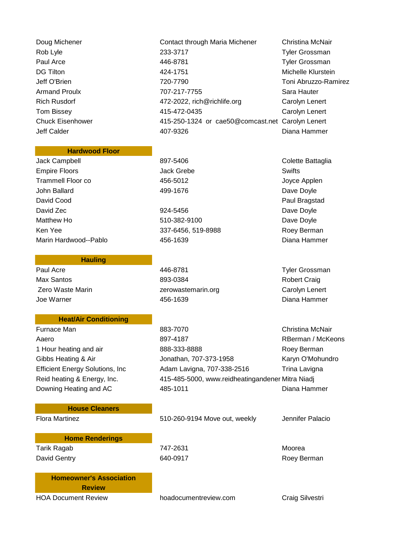Paul Arce **19 Tyler Grossman 446-8781 Tyler Grossman** Armand Proulx **Matter States** 707-217-7755 Sara Hauter Rich Rusdorf **Arroughly 2022**, rich@richlife.org Carolyn Lenert Tom Bissey 415-472-0435 Carolyn Lenert Chuck Eisenhower 415-250-1324 or cae50@comcast.net Carolyn Lenert Jeff Calder 407-9326 Diana Hammer

# **Hardwood Floor**

Jack Campbell **897-5406** Colette Battaglia Empire Floors **Swifts Swifts Swifts Swifts Swifts Swifts** Trammell Floor co 456-5012 Joyce Applen John Ballard **199-1676 Participal Library 199-1676 Dave Doyle** Dave Doyle David Cood **Paul Bragstad Paul Bragstad Paul Bragstad** David Zec **David Zec 2012** 224-5456 David Zec 2012 224-5456 Matthew Ho **610-382-9100** Matthew Ho **Dave Doyle** Ken Yee 337-6456, 519-8988 Roey Berman Roey Berman Marin Hardwood--Pablo 456-1639 Diana Hammer

**Hauling**

Paul Acre **1988** Tyler Grossman **1988** 446-8781 Max Santos 893-0384 Robert Craig Zero Waste Marin **Zerowastemarin.org Carolyn Lenert Zerowastemarin.org Carolyn Lenert** Joe Warner 456-1639 Diana Hammer

## **Heat/Air Conditioning**

Reid heating & Energy, Inc. 415-485-5000, www.reidheatingandener Mitra Niadj

**House Cleaners**

Flora Martinez **Finding 2001-260-9194** Move out, weekly Jennifer Palacio

**Home Renderings** Tarik Ragab 747-2631 Moorea David Gentry **640-0917** Roey Berman **COVID-0017** 

Doug Michener **Contact through Maria Michener** Christina McNair Rob Lyle 233-3717 Tyler Grossman DG Tilton 424-1751 Michelle Klurstein Jeff O'Brien 720-7790 Toni Abruzzo-Ramirez

Furnace Man **883-7070** B83-7070 **Christina McNair** Aaero 897-4187 RBerman / McKeons 1 Hour heating and air **888-333-8888** Roey Berman Gibbs Heating & Air **State State State State State State State State State State State State State State State State State State State State State State State State State State State State State State State State State Sta** Efficient Energy Solutions, Inc and Adam Lavigna, 707-338-2516 Trina Lavigna Downing Heating and AC 485-1011 Diana Hammer

**Homeowner's Association Review**

HOA Document Review hoadocumentreview.com Craig Silvestri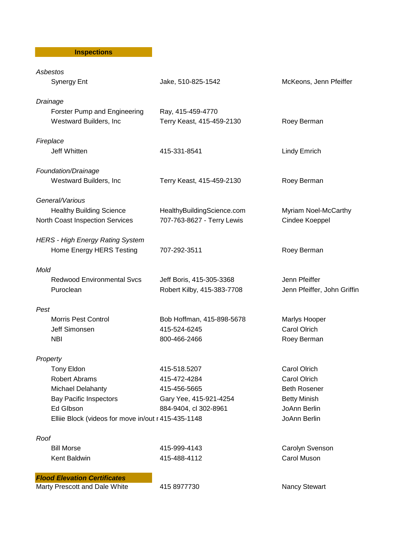**Inspections** 

| Asbestos                                            |                            |                             |
|-----------------------------------------------------|----------------------------|-----------------------------|
| <b>Synergy Ent</b>                                  | Jake, 510-825-1542         | McKeons, Jenn Pfeiffer      |
| Drainage                                            |                            |                             |
| Forster Pump and Engineering                        | Ray, 415-459-4770          |                             |
| Westward Builders, Inc                              | Terry Keast, 415-459-2130  | Roey Berman                 |
| Fireplace                                           |                            |                             |
| Jeff Whitten                                        | 415-331-8541               | <b>Lindy Emrich</b>         |
| Foundation/Drainage                                 |                            |                             |
| Westward Builders, Inc                              | Terry Keast, 415-459-2130  | Roey Berman                 |
| General/Various                                     |                            |                             |
| <b>Healthy Building Science</b>                     | HealthyBuildingScience.com | Myriam Noel-McCarthy        |
| North Coast Inspection Services                     | 707-763-8627 - Terry Lewis | Cindee Koeppel              |
| <b>HERS - High Energy Rating System</b>             |                            |                             |
| Home Energy HERS Testing                            | 707-292-3511               | Roey Berman                 |
| Mold                                                |                            |                             |
| <b>Redwood Environmental Svcs</b>                   | Jeff Boris, 415-305-3368   | Jenn Pfeiffer               |
| Puroclean                                           | Robert Kilby, 415-383-7708 | Jenn Pfeiffer, John Griffin |
| Pest                                                |                            |                             |
| <b>Morris Pest Control</b>                          | Bob Hoffman, 415-898-5678  | Marlys Hooper               |
| Jeff Simonsen                                       | 415-524-6245               | <b>Carol Olrich</b>         |
| <b>NBI</b>                                          | 800-466-2466               | Roey Berman                 |
| Property                                            |                            |                             |
| <b>Tony Eldon</b>                                   | 415-518.5207               | <b>Carol Olrich</b>         |
| Robert Abrams                                       | 415-472-4284               | Carol Olrich                |
| Michael Delahanty                                   | 415-456-5665               | <b>Beth Rosener</b>         |
| <b>Bay Pacific Inspectors</b>                       | Gary Yee, 415-921-4254     | <b>Betty Minish</b>         |
| Ed Glbson                                           | 884-9404, cl 302-8961      | JoAnn Berlin                |
| Elliie Block (videos for move in/out r 415-435-1148 |                            | JoAnn Berlin                |
| Roof                                                |                            |                             |
| <b>Bill Morse</b>                                   | 415-999-4143               | Carolyn Svenson             |
| Kent Baldwin                                        | 415-488-4112               | Carol Muson                 |
| <b>Flood Elevation Certificates</b>                 |                            |                             |
| Marty Prescott and Dale White                       | 415 8977730                | <b>Nancy Stewart</b>        |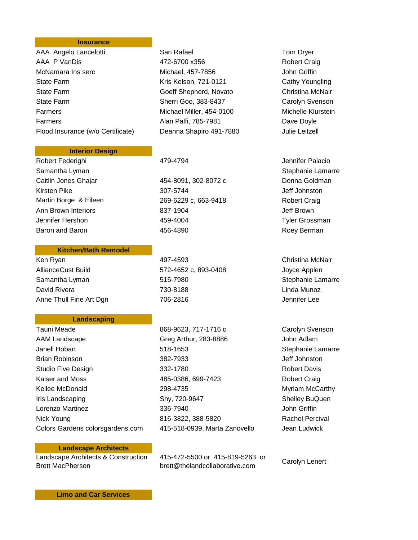## **Insurance**

| AAA Angelo Lancelotti             |
|-----------------------------------|
| AAA P VanDis                      |
| McNamara Ins serc                 |
| <b>State Farm</b>                 |
| <b>State Farm</b>                 |
| <b>State Farm</b>                 |
| Farmers                           |
| Farmers                           |
| Flood Insurance (w/o Certificate) |

#### **Interior Design**

Robert Federighi **179-4794** AT9-4794 **Arroughly** Jennifer Palacio Samantha Lyman Stephanie Lamarre Caitlin Jones Ghajar 454-8091, 302-8072 c Donna Goldman Kirsten Pike 307-5744 Jeff Johnston 307-6744 Martin Borge & Eileen 269-6229 c, 663-9418 Robert Craig Ann Brown Interiors 837-1904 Jeff Brown Jennifer Hershon 459-4004 Tyler Grossman Baron and Baron **1990 Roey Berman 456-4890 Roey Berman** 

#### **Kitchen/Bath Remodel**

AllianceCust Build 572-4652 c, 893-0408 Joyce Applen Samantha Lyman 515-7980 Stephanie Lamarre David Rivera 730-8188 Linda Munoz Anne Thull Fine Art Dgn  $706-2816$  Jennifer Lee

# **Landscaping**

| Tauni Meade                      |
|----------------------------------|
| AAM Landscape                    |
| Janell Hobart                    |
| Brian Robinson                   |
| Studio Five Design               |
| Kaiser and Moss                  |
| Kellee McDonald                  |
| Iris Landscaping                 |
| Lorenzo Martinez                 |
| Nick Young                       |
| Colors Gardens colorsgardens.com |

# Aan Rafael **Angelor Lancelotti San Rafael** 472-6700 x356 Robert Craig Michael, 457-7856 John Griffin Kris Kelson, 721-0121 Cathy Youngling Goeff Shepherd, Novato Christina McNair Sherri Goo, 383-8437 Carolyn Svenson Michael Miller, 454-0100 Michelle Klurstein Alan Palfi, 785-7981 Dave Doyle Deanna Shapiro 491-7880 Julie Leitzell

Ken Ryan 497-4593 Christina McNair

868-9623, 717-1716 c Carolyn Svenson Greg Arthur, 283-8886 John Adlam Janell Hobart 518-1653 Stephanie Lamarre Brian Robinson 382-7933 Jeff Johnston Studio Five Design 332-1780 Robert Davis 485-0386, 699-7423 Robert Craig 298-4735 Myriam McCarthy Shy, 720-9647 Shelley BuQuen Lorenzo Martinez 336-7940 John Griffin 816-3822, 388-5820 Rachel Percival n 415-518-0939, Marta Zanovello Jean Ludwick

# **Landscape Architects**

Landscape Architects & Construction Brett MacPherson

415-472-5500 or 415-819-5263 or 415-472-5500 or 415-619-5205 or<br>brett@thelandcollaborative.com Carolyn Lenert

**Limo and Car Services**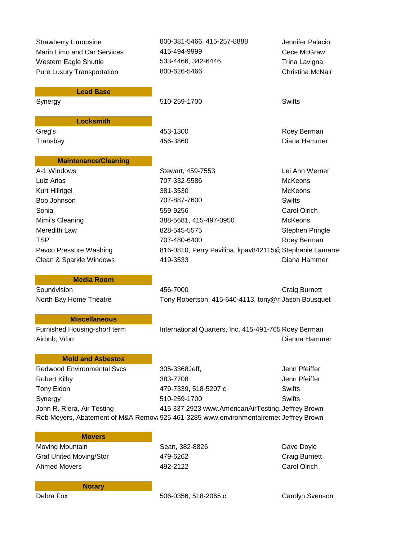Marin Limo and Car Services  $415-494-9999$  Cece McGraw Western Eagle Shuttle **533-4466**, 342-6446 Trina Lavigna Pure Luxury Transportation **800-626-5466** Christina McNair

Strawberry Limousine 800-381-5466, 415-257-8888 Jennifer Palacio

**Lead Base**

Synergy **510-259-1700** Swifts

**Locksmith** Greg's **Accord Contract Contract ASS-1300 Roey Berman** Roey Berman

# **Maintenance/Cleaning**

A-1 Windows Stewart, 459-7553 Lei Ann Werner Luiz Arias 707-332-5586 McKeons Kurt Hillrigel **Music Communist Communist Communist Communist Communist Communist Communist Communist Communist Communist Communist Communist Communist Communist Communist Communist Communist Communist Communist Communist** Bob Johnson 707-887-7600 Swifts Sonia 559-9256 Carol Olrich Mimi's Cleaning 388-5681, 415-497-0950 McKeons Meredith Law **828-545-5575** Stephen Pringle TSP 707-480-6400 Roey Berman Pavco Pressure Washing 816-0810, Perry Pavilina, kpav842115@ Stephanie Lamarre

Transbay 456-3860 Diana Hammer

Clean & Sparkle Windows 419-3533 Diana Hammer

#### **Media Room**

Soundvision **1988** Craig Burnett 156-7000 Craig Burnett

# **Miscellaneous**

North Bay Home Theatre Tony Robertson, 415-640-4113, tony@nJason Bousquet

Furnished Housing-short term International Quarters, Inc, 415-491-765 Roey Berman Airbnb, Vrbo **Dianna Hammer** (1999) and the Community of the Community of the Community of the Dianna Hammer

# **Mold and Asbestos**

Redwood Environmental Svcs and 305-3368Jeff. The Superintendent Svens Section 1 and Theiffer Robert Kilby 383-7708 Jenn Pfeiffer Tony Eldon 479-7339, 518-5207 c Swifts Synergy **510-259-1700** Swifts John R. Riera, Air Testing 1992 415 337 2923 www.AmericanAirTesting. Jeffrey Brown Rob Meyers, Abatement of M&A Remova 925 461-3285 www.environmentalremec Jeffrey Brown

#### **Movers**

Moving Mountain **National Sean, 382-8826** Dave Doyle Dave Doyle Graf United Moving/Stor **479-6262** Craig Burnett Ahmed Movers 492-2122 Carol Olrich

**Notary**

Debra Fox 506-0356, 518-2065 c Carolyn Svenson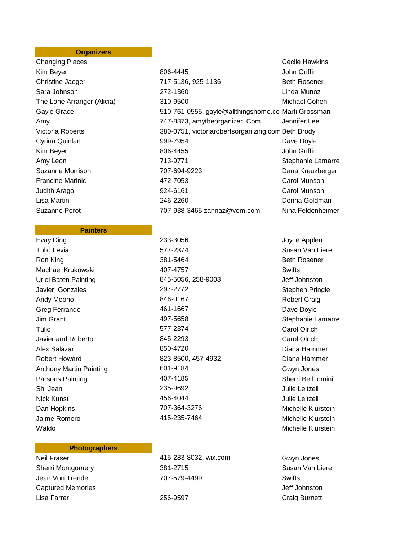# **Organizers**

Changing Places Cecile Hawkins Suzanne Perot 707-938-3465 zannaz@vom.com Nina Feldenheimer

### **Painters**

Evay Ding 233-3056 Company 233-3056 Company 233-3056 Tulio Levia 577-2374 Susan Van Liere Ron King **381-5464** Beth Rosener Machael Krukowski 407-4757 Swifts Uriel Baten Painting 845-5056, 258-9003 Jeff Johnston Javier Gonzales 297-2772 Stephen Pringle Andy Meono **846-0167** 846-0167 Robert Craig Greg Ferrando **AG1-1667** AG1-1667 **Dave Doyle** Jim Grant 497-5658 Stephanie Lamarre Tulio 577-2374 Carol Olrich Javier and Roberto 845-2293 Carol Olrich Alex Salazar 850-4720 Diana Hammer Robert Howard 823-8500, 457-4932 Diana Hammer Anthony Martin Painting 601-9184 Gwyn Jones Parsons Painting **Community** 207-4185 **Community** 31 Sherri Belluomini Shi Jean 235-9692 Julie Leitzell Nick Kunst **Australian Control 156-4044** Mick Kunst Aulie Leitzell Dan Hopkins 707-364-3276 Michelle Klurstein Jaime Romero 415-235-7464 Michelle Klurstein Waldo **Michelle Klurstein** Michelle Klurstein

## **Photographers**

**Captured Memories Capture Inc.** The Captured Memories And The Capture Inc. The Capture Inc. The Capture Inc. The Capture Inc. The Capture Inc. The Capture Inc. The Capture Inc. The Capture Inc. The Capture Inc. The Captur Lisa Farrer 256-9597 Craig Burnett

Kim Beyer **806-4445 Right Bloom Boot Boot Additional Bloom Boot Additional Bloom Boot Boot Boot Bloom Boot Bloom Boot Bloom Bloom Boot Bloom Bloom Bloom Bloom Bloom Bloom Bloom Bloom Bloom Bloom Bloom Bloom Bloom Bloom B** Christine Jaeger The Christine Jaeger Christine Jaeger and The Theory 717-5136, 925-1136 Sara Johnson 272-1360 Linda Munoz The Lone Arranger (Alicia) 310-9500 Michael Cohen Gayle Grace **610-761-0555**, gayle@allthingshome.comMarti Grossman Amy 747-8873, amytheorganizer. Com Jennifer Lee Victoria Roberts 380-0751, victoriarobertsorganizing.com Beth Brody Cyrina Quinlan **Dave Doyle Cyrina Quinlan Dave Doyle Dave Doyle Dave Doyle** Kim Beyer **806-4455 Communist Example 10 and 306-4455 John Griffin** Amy Leon **Marting 2018** 713-9771 Stephanie Lamarre Suzanne Morrison 707-694-9223 Dana Kreuzberger Francine Marinic **Carol 19 Stuart 10 and 472-7053** Carol Munson Carol Munson Judith Arago 924-6161 Carol Munson Lisa Martin 246-2260 Donna Goldman

Neil Fraser 415-283-8032, wix.com Gwyn Jones Sherri Montgomery **381-2715** Susan Van Liere Jean Von Trende **1988** To 2004-207-579-4499 To 2014 Swifts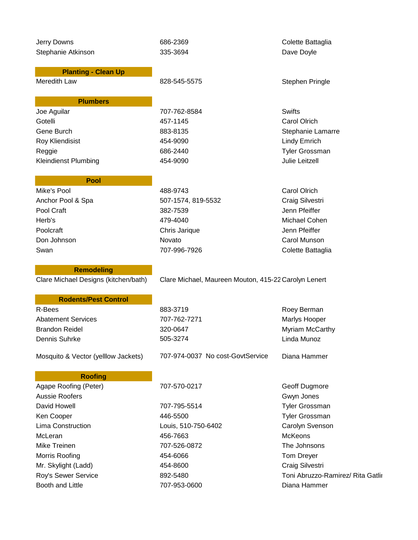| Jerry Downs                          | 686-2369                                             | Colette Battaglia                 |
|--------------------------------------|------------------------------------------------------|-----------------------------------|
| Stephanie Atkinson                   | 335-3694                                             | Dave Doyle                        |
|                                      |                                                      |                                   |
| <b>Planting - Clean Up</b>           |                                                      |                                   |
| Meredith Law                         | 828-545-5575                                         | <b>Stephen Pringle</b>            |
|                                      |                                                      |                                   |
| <b>Plumbers</b>                      |                                                      | <b>Swifts</b>                     |
| Joe Aguilar<br>Gotelli               | 707-762-8584                                         |                                   |
|                                      | 457-1145                                             | <b>Carol Olrich</b>               |
| Gene Burch                           | 883-8135                                             | Stephanie Lamarre                 |
| Roy Kliendisist                      | 454-9090                                             | <b>Lindy Emrich</b>               |
| Reggie                               | 686-2440                                             | <b>Tyler Grossman</b>             |
| <b>Kleindienst Plumbing</b>          | 454-9090                                             | <b>Julie Leitzell</b>             |
| <b>Pool</b>                          |                                                      |                                   |
| Mike's Pool                          | 488-9743                                             | <b>Carol Olrich</b>               |
| Anchor Pool & Spa                    | 507-1574, 819-5532                                   | Craig Silvestri                   |
| Pool Craft                           | 382-7539                                             | Jenn Pfeiffer                     |
| Herb's                               | 479-4040                                             | Michael Cohen                     |
|                                      |                                                      |                                   |
| Poolcraft                            | Chris Jarique                                        | Jenn Pfeiffer                     |
| Don Johnson                          | Novato                                               | Carol Munson                      |
| Swan                                 | 707-996-7926                                         | Colette Battaglia                 |
| <b>Remodeling</b>                    |                                                      |                                   |
| Clare Michael Designs (kitchen/bath) | Clare Michael, Maureen Mouton, 415-22 Carolyn Lenert |                                   |
|                                      |                                                      |                                   |
| <b>Rodents/Pest Control</b>          |                                                      |                                   |
| R-Bees                               | 883-3719                                             | Roey Berman                       |
| <b>Abatement Services</b>            | 707-762-7271                                         | Marlys Hooper                     |
| <b>Brandon Reidel</b>                | 320-0647                                             | Myriam McCarthy                   |
| Dennis Suhrke                        | 505-3274                                             | Linda Munoz                       |
|                                      | 707-974-0037 No cost-GovtService                     | Diana Hammer                      |
| Mosquito & Vector (yelllow Jackets)  |                                                      |                                   |
| <b>Roofing</b>                       |                                                      |                                   |
| Agape Roofing (Peter)                | 707-570-0217                                         | Geoff Dugmore                     |
| <b>Aussie Roofers</b>                |                                                      | Gwyn Jones                        |
| David Howell                         | 707-795-5514                                         | <b>Tyler Grossman</b>             |
| Ken Cooper                           | 446-5500                                             | Tyler Grossman                    |
| Lima Construction                    | Louis, 510-750-6402                                  | Carolyn Svenson                   |
| McLeran                              | 456-7663                                             | <b>McKeons</b>                    |
| Mike Treinen                         | 707-526-0872                                         | The Johnsons                      |
| Morris Roofing                       | 454-6066                                             | Tom Dreyer                        |
| Mr. Skylight (Ladd)                  | 454-8600                                             | Craig Silvestri                   |
| Roy's Sewer Service                  | 892-5480                                             | Toni Abruzzo-Ramirez/ Rita Gatlir |
|                                      |                                                      |                                   |

Booth and Little **2008** 207-953-0600 **Diana Hammer**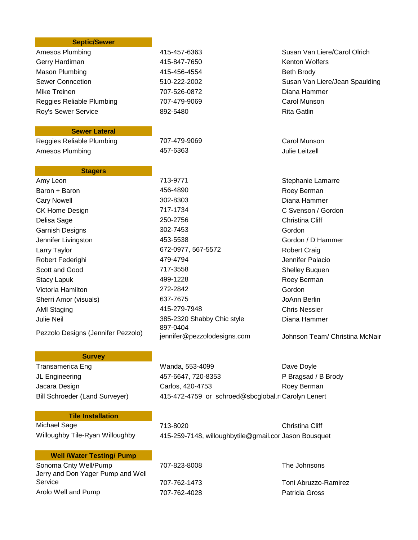| <b>Septic/Sewer</b>       |                    |                                |
|---------------------------|--------------------|--------------------------------|
| Amesos Plumbing           | 415-457-6363       | Susan Van Liere/Carol Olrich   |
| Gerry Hardiman            | 415-847-7650       | <b>Kenton Wolfers</b>          |
| Mason Plumbing            | 415-456-4554       | <b>Beth Brody</b>              |
| <b>Sewer Conncetion</b>   | 510-222-2002       | Susan Van Liere/Jean Spaulding |
| Mike Treinen              | 707-526-0872       | Diana Hammer                   |
| Reggies Reliable Plumbing | 707-479-9069       | Carol Munson                   |
| Roy's Sewer Service       | 892-5480           | <b>Rita Gatlin</b>             |
| <b>Sewer Lateral</b>      |                    |                                |
| Reggies Reliable Plumbing | 707-479-9069       | Carol Munson                   |
| Amesos Plumbing           | 457-6363           | <b>Julie Leitzell</b>          |
| <b>Stagers</b>            |                    |                                |
| Amy Leon                  | 713-9771           | Stephanie Lamarre              |
| Baron + Baron             | 456-4890           | Roey Berman                    |
| <b>Cary Nowell</b>        | 302-8303           | Diana Hammer                   |
| <b>CK Home Design</b>     | 717-1734           | C Svenson / Gordon             |
| Delisa Sage               | 250-2756           | <b>Christina Cliff</b>         |
| <b>Garnish Designs</b>    | 302-7453           | Gordon                         |
| Jennifer Livingston       | 453-5538           | Gordon / D Hammer              |
| Larry Taylor              | 672-0977, 567-5572 | <b>Robert Craig</b>            |
| Robert Federighi          | 479-4794           | Jennifer Palacio               |
| Scott and Good            | 717-3558           | <b>Shelley Buquen</b>          |
| <b>Stacy Lapuk</b>        | 499-1228           | Roey Berman                    |
| Victoria Hamilton         | 272-2842           | Gordon                         |
| Sherri Amor (visuals)     | 637-7675           | JoAnn Berlin                   |
| <b>AMI Staging</b>        | 415-279-7948       | <b>Chris Nessier</b>           |

Pezzolo Designs (Jennifer Pezzolo)

# **Survey**

Transamerica Eng North Changes Manda, 553-4099 Manda, 553-4099 Dave Doyle JL Engineering 457-6647, 720-8353 P Bragsad / B Brody Jacara Design **Carlos, 420-4753** Roey Berman Bill Schroeder (Land Surveyer) 415-472-4759 or schroed@sbcglobal.nCarolyn Lenert

# **Tile Installation**

Michael Sage 713-8020 Christina Cliff Willoughby Tile-Ryan Willoughby 415-259-7148, willoughbytile@gmail.comJason Bousquet

jennifer@pezzolodesigns.com Johnson Team/ Christina McNair

## **Well /Water Testing/ Pump**

Sonoma Cnty Well/Pump 707-823-8008 The Johnsons Jerry and Don Yager Pump and Well Service 707-762-1473 Toni Abruzzo-Ramirez Arolo Well and Pump **707-762-4028** Patricia Gross

Julie Neil 385-2320 Shabby Chic style Diana Hammer

897-0404